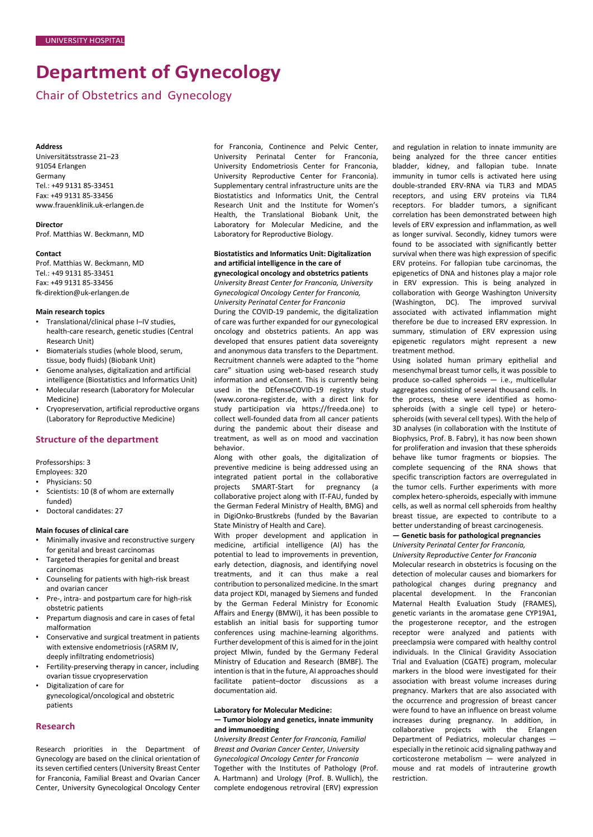# **Department of Gynecology**

Chair of Obstetrics and Gynecology

#### **Address**

Universitätsstrasse 21–23 91054 Erlangen Germany Tel.: +49 9131 85-33451 Fax: +49 9131 85-33456 [www.frauenklinik.uk-erlangen.de](http://www.frauenklinik.uk-erlangen.de/)

#### **Director**

Prof. Matthias W. Beckmann, MD

#### **Contact**

Prof. Matthias W. Beckmann, MD Tel.: +49 9131 85-33451 Fax: +49 9131 85-33456 [fk-direktion@uk-erlangen.de](mailto:fk-direktion@uk-erlangen.de)

## **Main research topics**

- Translational/clinical phase I–IV studies, health-care research, genetic studies (Central Research Unit)
- Biomaterials studies (whole blood, serum, tissue, body fluids) (Biobank Unit)
- Genome analyses, digitalization and artificial intelligence (Biostatistics and Informatics Unit)
- Molecular research (Laboratory for Molecular Medicine)
- Cryopreservation, artificial reproductive organs (Laboratory for Reproductive Medicine)

## **Structure of the department**

Professorships: 3

Employees: 320

- Physicians: 50
- Scientists: 10 (8 of whom are externally funded)
- Doctoral candidates: 27

## **Main focuses of clinical care**

- Minimally invasive and reconstructive surgery for genital and breast carcinomas
- Targeted therapies for genital and breast carcinomas
- Counseling for patients with high-risk breast and ovarian cancer
- Pre-, intra- and postpartum care for high-risk obstetric patients
- Prepartum diagnosis and care in cases of fetal malformation
- Conservative and surgical treatment in patients with extensive endometriosis (rASRM IV, deeply infiltrating endometriosis)
- Fertility-preserving therapy in cancer, including ovarian tissue cryopreservation
- Digitalization of care for gynecological/oncological and obstetric patients

# **Research**

Research priorities in the Department of Gynecology are based on the clinical orientation of its seven certified centers (University Breast Center for Franconia, Familial Breast and Ovarian Cancer Center, University Gynecological Oncology Center for Franconia, Continence and Pelvic Center, University Perinatal Center for Franconia, University Endometriosis Center for Franconia, University Reproductive Center for Franconia). Supplementary central infrastructure units are the Biostatistics and Informatics Unit, the Central Research Unit and the Institute for Women's Health, the Translational Biobank Unit, the Laboratory for Molecular Medicine, and the Laboratory for Reproductive Biology.

#### **Biostatistics and Informatics Unit: Digitalization and artificial intelligence in the care of gynecological oncology and obstetrics patients**

*University Breast Center for Franconia, University Gynecological Oncology Center for Franconia, University Perinatal Center for Franconia*

During the COVID-19 pandemic, the digitalization of care was further expanded for our gynecological oncology and obstetrics patients. An app was developed that ensures patient data sovereignty and anonymous data transfers to the Department. Recruitment channels were adapted to the "home care" situation using web-based research study information and eConsent. This is currently being used in the DEfenseCOVID-19 registry study (www.corona-register.de, with a direct link for study participation via https://freeda.one) to collect well-founded data from all cancer patients during the pandemic about their disease and treatment, as well as on mood and vaccination behavior.

Along with other goals, the digitalization of preventive medicine is being addressed using an integrated patient portal in the collaborative projects SMART-Start for pregnancy (a collaborative project along with IT-FAU, funded by the German Federal Ministry of Health, BMG) and in DigiOnko-Brustkrebs (funded by the Bavarian State Ministry of Health and Care).

With proper development and application in medicine, artificial intelligence (AI) has the potential to lead to improvements in prevention, early detection, diagnosis, and identifying novel treatments, and it can thus make a real contribution to personalized medicine. In the smart data project KDI, managed by Siemens and funded by the German Federal Ministry for Economic Affairs and Energy (BMWi), it has been possible to establish an initial basis for supporting tumor conferences using machine-learning algorithms. Further development of this is aimed for in the joint project Mlwin, funded by the Germany Federal Ministry of Education and Research (BMBF). The intention is that in the future, AI approaches should facilitate patient–doctor discussions as a documentation aid.

#### **Laboratory for Molecular Medicine: — Tumor biology and genetics, innate immunity and immunoediting**

*University Breast Center for Franconia, Familial Breast and Ovarian Cancer Center, University Gynecological Oncology Center for Franconia* Together with the Institutes of Pathology (Prof. A. Hartmann) and Urology (Prof. B. Wullich), the complete endogenous retroviral (ERV) expression and regulation in relation to innate immunity are being analyzed for the three cancer entities bladder, kidney, and fallopian tube. Innate immunity in tumor cells is activated here using double-stranded ERV-RNA via TLR3 and MDA5 receptors, and using ERV proteins via TLR4 receptors. For bladder tumors, a significant correlation has been demonstrated between high levels of ERV expression and inflammation, as well as longer survival. Secondly, kidney tumors were found to be associated with significantly better survival when there was high expression of specific ERV proteins. For fallopian tube carcinomas, the epigenetics of DNA and histones play a major role in ERV expression. This is being analyzed in collaboration with George Washington University (Washington, DC). The improved survival associated with activated inflammation might therefore be due to increased ERV expression. In summary, stimulation of ERV expression using epigenetic regulators might represent a new treatment method.

Using isolated human primary epithelial and mesenchymal breast tumor cells, it was possible to produce so-called spheroids — i.e., multicellular aggregates consisting of several thousand cells. In the process, these were identified as homospheroids (with a single cell type) or heterospheroids (with several cell types). With the help of 3D analyses (in collaboration with the Institute of Biophysics, Prof. B. Fabry), it has now been shown for proliferation and invasion that these spheroids behave like tumor fragments or biopsies. The complete sequencing of the RNA shows that specific transcription factors are overregulated in the tumor cells. Further experiments with more complex hetero-spheroids, especially with immune cells, as well as normal cell spheroids from healthy breast tissue, are expected to contribute to a better understanding of breast carcinogenesis.

# **— Genetic basis for pathological pregnancies**

*University Perinatal Center for Franconia, University Reproductive Center for Franconia*

Molecular research in obstetrics is focusing on the detection of molecular causes and biomarkers for pathological changes during pregnancy and placental development. In the Franconian Maternal Health Evaluation Study (FRAMES), genetic variants in the aromatase gene CYP19A1, the progesterone receptor, and the estrogen receptor were analyzed and patients with preeclampsia were compared with healthy control individuals. In the Clinical Gravidity Association Trial and Evaluation (CGATE) program, molecular markers in the blood were investigated for their association with breast volume increases during pregnancy. Markers that are also associated with the occurrence and progression of breast cancer were found to have an influence on breast volume increases during pregnancy. In addition, in collaborative projects with the Erlangen Department of Pediatrics, molecular changes especially in the retinoic acid signaling pathway and corticosterone metabolism — were analyzed in mouse and rat models of intrauterine growth restriction.